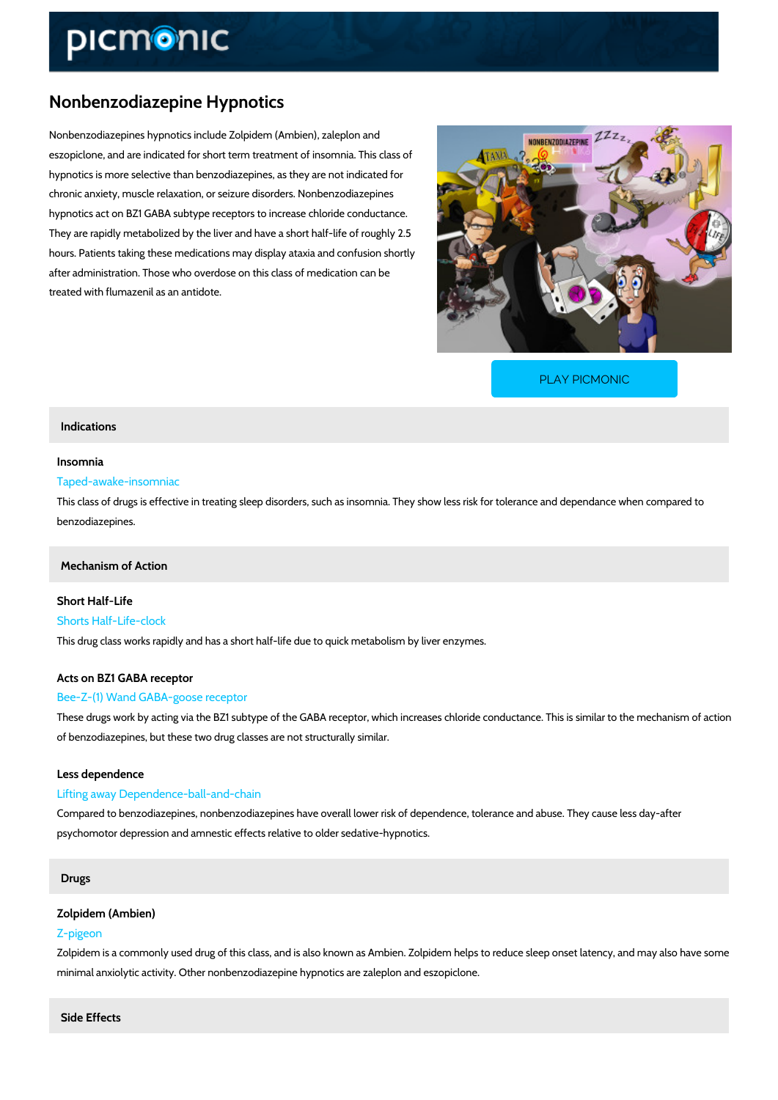# Nonbenzodiazepine Hypnotics

Nonbenzodiazepines hypnotics include Zolpidem (Ambien), zaleplon and eszopiclone, and are indicated for short term treatment of insomnia. This class of hypnotics is more selective than benzodiazepines, as they are not indicated for chronic anxiety, muscle relaxation, or seizure disorders. Nonbenzodiazepines hypnotics act on BZ1 GABA subtype receptors to increase chloride conductance. They are rapidly metabolized by the liver and have a short half-life of roughly 2.5 hours. Patients taking these medications may display ataxia and confusion shortly after administration. Those who overdose on this class of medication can be treated with flumazenil as an antidote.

[PLAY PICMONIC](https://www.picmonic.com/learn/nonbenzodiazepine-hypnotics_1194?utm_source=downloadable_content&utm_medium=distributedcontent&utm_campaign=pathways_pdf&utm_content=Nonbenzodiazepine Hypnotics&utm_ad_group=leads&utm_market=all)

### Indications

#### Insomnia

# Taped-awake-insomniac

This class of drugs is effective in treating sleep disorders, such as insomnia. They show less benzodiazepines.

# Mechanism of Action

Short Half-Life Shorts Half-Life-clock This drug class works rapidly and has a short half-life due to quick metabolism by liver enzym

# Acts on BZ1 GABA receptor

# Bee-Z-(1) Wand GABA-goose receptor

These drugs work by acting via the BZ1 subtype of the GABA receptor, which increases chlorid of benzodiazepines, but these two drug classes are not structurally similar.

#### Less dependence

#### Lifting away Dependence-ball-and-chain

Compared to benzodiazepines, nonbenzodiazepines have overall lower risk of dependence, tol psychomotor depression and amnestic effects relative to older sedative-hypnotics.

### Drugs

# Zolpidem (Ambien)

#### Z-pigeon

Zolpidem is a commonly used drug of this class, and is also known as Ambien. Zolpidem helps minimal anxiolytic activity. Other nonbenzodiazepine hypnotics are zaleplon and eszopiclone.

Side Effects